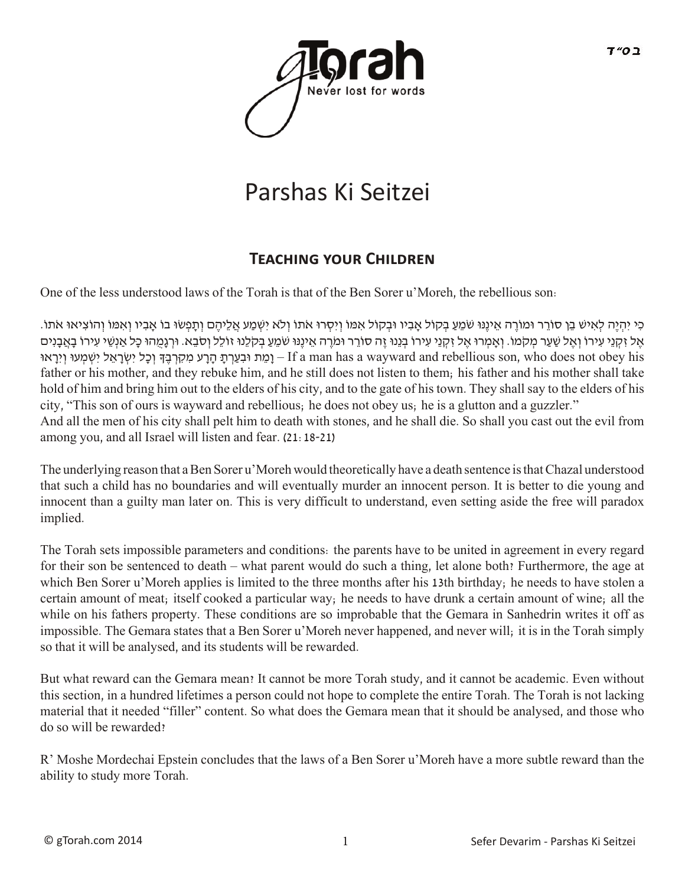

## Parshas Ki Seitzei

## **TEACHING YOUR CHILDREN**

One of the less understood laws of the Torah is that of the Ben Sorer u'Moreh, the rebellious son:

ָרִי יְהָיֶה לְאִישׁ בֵן סוֹרֵר וּמוֹרֶה אֵינֶנּוּ שֹׁמֵעַ בְקוֹל אָבִיו וּבְקוֹל אִמּוֹ וְיִסְרוּ אֹתוֹ וְלֹא יִשְׁמַע אֲלֵיהֶם וְתַפְשׂוּ בוֹ אֲבִיו וְאִמּוֹ וְהוֹצִיאוּ אֹתוֹ. ָאֶל זִקְנֵי עִירוֹ וְאֶל שַׁעַר מְקֹמוֹ. וְאֲמְרוּ אֶל זִקְנֵי עִירוֹ בְּנֵנוּ זֶה סוֹרֵר וּמֹרֶה אֱינֵנוּ שֹׁמֵעַ בִקלֶנוּ זוֹלֵל וְסֹבֵא. וּרְגַמְהוּ כָּל אַנְשֵׁי עִירוֹ בָאֲבָנִים וַמֵת וּבְעֲרְתָּ הָרֵע מִקְרְבֶדּ וְכָל יִשְׂרָאֵל יִשְׁמְעוּ וְיִרָאוּ – If a man has a wayward and rebellious son, who does not obey his father or his mother, and they rebuke him, and he still does not listen to them; his father and his mother shall take hold of him and bring him out to the elders of his city, and to the gate of his town. They shall say to the elders of his city, "This son of ours is wayward and rebellious; he does not obey us; he is a glutton and a guzzler." And all the men of his city shall pelt him to death with stones, and he shall die. So shall you cast out the evil from among you, and all Israel will listen and fear. (21:18-21)

The underlying reason that a Ben Sorer u'Moreh would theoretically have a death sentence is that Chazal understood that such a child has no boundaries and will eventually murder an innocent person. It is better to die young and innocent than a guilty man later on. This is very difficult to understand, even setting aside the free will paradox implied.

The Torah sets impossible parameters and conditions: the parents have to be united in agreement in every regard for their son be sentenced to death – what parent would do such a thing, let alone both? Furthermore, the age at which Ben Sorer u'Moreh applies is limited to the three months after his 13th birthday; he needs to have stolen a certain amount of meat; itself cooked a particular way; he needs to have drunk a certain amount of wine; all the while on his fathers property. These conditions are so improbable that the Gemara in Sanhedrin writes it off as impossible. The Gemara states that a Ben Sorer u'Moreh never happened, and never will; it is in the Torah simply so that it will be analysed, and its students will be rewarded.

But what reward can the Gemara mean? It cannot be more Torah study, and it cannot be academic. Even without this section, in a hundred lifetimes a person could not hope to complete the entire Torah. The Torah is not lacking material that it needed "filler" content. So what does the Gemara mean that it should be analysed, and those who do so will be rewarded?

R' Moshe Mordechai Epstein concludes that the laws of a Ben Sorer u'Moreh have a more subtle reward than the ability to study more Torah.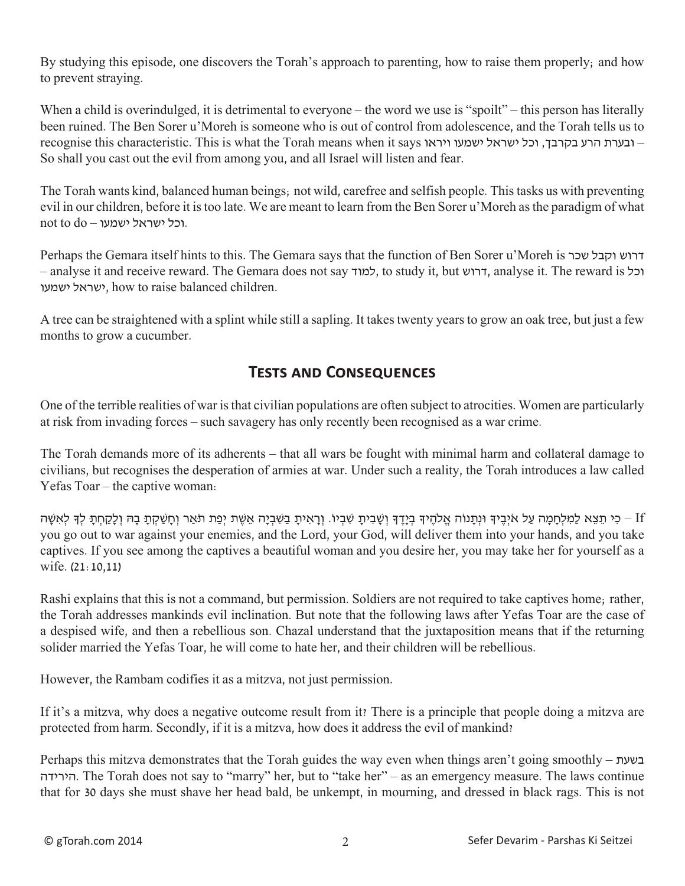By studying this episode, one discovers the Torah's approach to parenting, how to raise them properly; and how to prevent straying.

When a child is overindulged, it is detrimental to everyone – the word we use is "spoilt" – this person has literally been ruined. The Ben Sorer u'Moreh is someone who is out of control from adolescence, and the Torah tells us to recognise this characteristic. This is what the Torah means when it says ובערת הרע בקרבך, וכל ישראל ישמעו ויראו So shall you cast out the evil from among you, and all Israel will listen and fear.

The Torah wants kind, balanced human beings; not wild, carefree and selfish people. This tasks us with preventing evil in our children, before it is too late. We are meant to learn from the Ben Sorer u'Moreh as the paradigm of what not to  $d$ o – וכל ישראל ישמעו.

Perhaps the Gemara itself hints to this. The Gemara says that the function of Ben Sorer u'Moreh is שכר וקבל דרוש – analyse it and receive reward. The Gemara does not say למוד, to study it, but דרוש, analyse it. The reward is וכל ישראל ישמעו, how to raise balanced children.

A tree can be straightened with a splint while still a sapling. It takes twenty years to grow an oak tree, but just a few months to grow a cucumber.

## **Tests and Consequences**

One of the terrible realities of war is that civilian populations are often subject to atrocities. Women are particularly at risk from invading forces – such savagery has only recently been recognised as a war crime.

The Torah demands more of its adherents – that all wars be fought with minimal harm and collateral damage to civilians, but recognises the desperation of armies at war. Under such a reality, the Torah introduces a law called Yefas Toar – the captive woman:

ונתנוֹה אלהיד ביידד ושָבִית שִׁ מִל הוֹיךָ בְּיִדֶ וּוֹעֲבִית שַׁבְין. וְרָאִית בַשָּבִיה אַשֶׁת יפת תַּאר וְחַשָּׁקָת בַה וְלִקְחָת לַדְ לְאִשָּׁה - If you go out to war against your enemies, and the Lord, your God, will deliver them into your hands, and you take captives. If you see among the captives a beautiful woman and you desire her, you may take her for yourself as a wife. (21:10,11)

Rashi explains that this is not a command, but permission. Soldiers are not required to take captives home; rather, the Torah addresses mankinds evil inclination. But note that the following laws after Yefas Toar are the case of a despised wife, and then a rebellious son. Chazal understand that the juxtaposition means that if the returning solider married the Yefas Toar, he will come to hate her, and their children will be rebellious.

However, the Rambam codifies it as a mitzva, not just permission.

If it's a mitzva, why does a negative outcome result from it? There is a principle that people doing a mitzva are protected from harm. Secondly, if it is a mitzva, how does it address the evil of mankind?

Perhaps this mitzva demonstrates that the Torah guides the way even when things aren't going smoothly – בשעת הירידה. The Torah does not say to "marry" her, but to "take her" – as an emergency measure. The laws continue that for 30 days she must shave her head bald, be unkempt, in mourning, and dressed in black rags. This is not